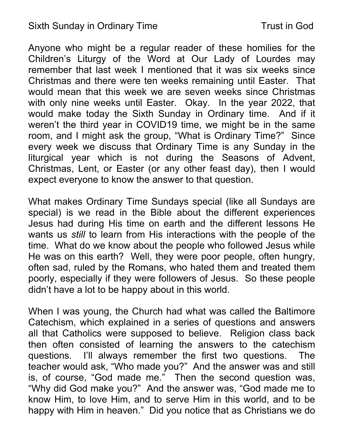## Sixth Sunday in Ordinary Time Trust in God

Anyone who might be a regular reader of these homilies for the Children's Liturgy of the Word at Our Lady of Lourdes may remember that last week I mentioned that it was six weeks since Christmas and there were ten weeks remaining until Easter. That would mean that this week we are seven weeks since Christmas with only nine weeks until Easter. Okay. In the year 2022, that would make today the Sixth Sunday in Ordinary time. And if it weren't the third year in COVID19 time, we might be in the same room, and I might ask the group, "What is Ordinary Time?" Since every week we discuss that Ordinary Time is any Sunday in the liturgical year which is not during the Seasons of Advent, Christmas, Lent, or Easter (or any other feast day), then I would expect everyone to know the answer to that question.

What makes Ordinary Time Sundays special (like all Sundays are special) is we read in the Bible about the different experiences Jesus had during His time on earth and the different lessons He wants us still to learn from His interactions with the people of the time. What do we know about the people who followed Jesus while He was on this earth? Well, they were poor people, often hungry, often sad, ruled by the Romans, who hated them and treated them poorly, especially if they were followers of Jesus. So these people didn't have a lot to be happy about in this world.

When I was young, the Church had what was called the Baltimore Catechism, which explained in a series of questions and answers all that Catholics were supposed to believe. Religion class back then often consisted of learning the answers to the catechism questions. I'll always remember the first two questions. The teacher would ask, "Who made you?" And the answer was and still is, of course, "God made me." Then the second question was, "Why did God make you?" And the answer was, "God made me to know Him, to love Him, and to serve Him in this world, and to be happy with Him in heaven." Did you notice that as Christians we do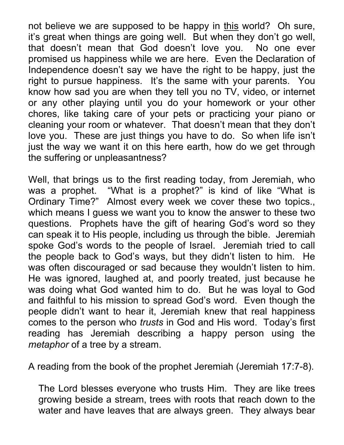not believe we are supposed to be happy in this world? Oh sure, it's great when things are going well. But when they don't go well, that doesn't mean that God doesn't love you. No one ever promised us happiness while we are here. Even the Declaration of Independence doesn't say we have the right to be happy, just the right to pursue happiness. It's the same with your parents. You know how sad you are when they tell you no TV, video, or internet or any other playing until you do your homework or your other chores, like taking care of your pets or practicing your piano or cleaning your room or whatever. That doesn't mean that they don't love you. These are just things you have to do. So when life isn't just the way we want it on this here earth, how do we get through the suffering or unpleasantness?

Well, that brings us to the first reading today, from Jeremiah, who was a prophet. "What is a prophet?" is kind of like "What is Ordinary Time?" Almost every week we cover these two topics., which means I guess we want you to know the answer to these two questions. Prophets have the gift of hearing God's word so they can speak it to His people, including us through the bible. Jeremiah spoke God's words to the people of Israel. Jeremiah tried to call the people back to God's ways, but they didn't listen to him. He was often discouraged or sad because they wouldn't listen to him. He was ignored, laughed at, and poorly treated, just because he was doing what God wanted him to do. But he was loyal to God and faithful to his mission to spread God's word. Even though the people didn't want to hear it, Jeremiah knew that real happiness comes to the person who trusts in God and His word. Today's first reading has Jeremiah describing a happy person using the metaphor of a tree by a stream.

A reading from the book of the prophet Jeremiah (Jeremiah 17:7-8).

The Lord blesses everyone who trusts Him. They are like trees growing beside a stream, trees with roots that reach down to the water and have leaves that are always green. They always bear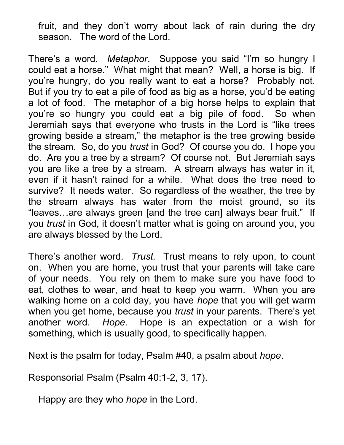fruit, and they don't worry about lack of rain during the dry season. The word of the Lord.

There's a word. Metaphor. Suppose you said "I'm so hungry I could eat a horse." What might that mean? Well, a horse is big. If you're hungry, do you really want to eat a horse? Probably not. But if you try to eat a pile of food as big as a horse, you'd be eating a lot of food. The metaphor of a big horse helps to explain that you're so hungry you could eat a big pile of food. So when Jeremiah says that everyone who trusts in the Lord is "like trees growing beside a stream," the metaphor is the tree growing beside the stream. So, do you *trust* in God? Of course you do. I hope you do. Are you a tree by a stream? Of course not. But Jeremiah says you are like a tree by a stream. A stream always has water in it, even if it hasn't rained for a while. What does the tree need to survive? It needs water. So regardless of the weather, the tree by the stream always has water from the moist ground, so its "leaves…are always green [and the tree can] always bear fruit." If you trust in God, it doesn't matter what is going on around you, you are always blessed by the Lord.

There's another word. Trust. Trust means to rely upon, to count on. When you are home, you trust that your parents will take care of your needs. You rely on them to make sure you have food to eat, clothes to wear, and heat to keep you warm. When you are walking home on a cold day, you have hope that you will get warm when you get home, because you *trust* in your parents. There's yet another word. Hope. Hope is an expectation or a wish for something, which is usually good, to specifically happen.

Next is the psalm for today, Psalm #40, a psalm about hope.

Responsorial Psalm (Psalm 40:1-2, 3, 17).

Happy are they who *hope* in the Lord.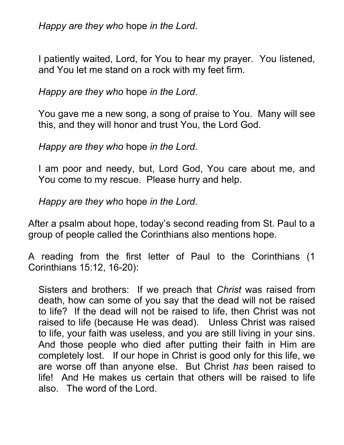Happy are they who hope in the Lord.

I patiently waited, Lord, for You to hear my prayer. You listened, and You let me stand on a rock with my feet firm.

Happy are they who hope in the Lord.

You gave me a new song, a song of praise to You. Many will see this, and they will honor and trust You, the Lord God.

Happy are they who hope in the Lord.

I am poor and needy, but, Lord God, You care about me, and You come to my rescue. Please hurry and help.

Happy are they who hope in the Lord.

After a psalm about hope, today's second reading from St. Paul to a group of people called the Corinthians also mentions hope.

A reading from the first letter of Paul to the Corinthians (1 Corinthians 15:12, 16-20):

Sisters and brothers: If we preach that Christ was raised from death, how can some of you say that the dead will not be raised to life? If the dead will not be raised to life, then Christ was not raised to life (because He was dead). Unless Christ was raised to life, your faith was useless, and you are still living in your sins. And those people who died after putting their faith in Him are completely lost. If our hope in Christ is good only for this life, we are worse off than anyone else. But Christ has been raised to life! And He makes us certain that others will be raised to life also. The word of the Lord.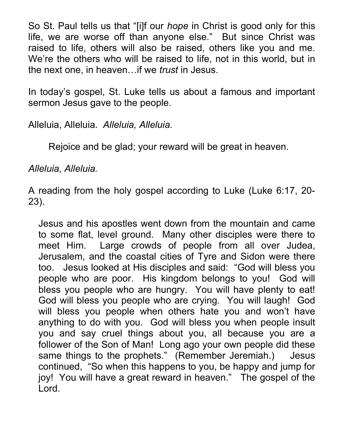So St. Paul tells us that "[i]f our *hope* in Christ is good only for this life, we are worse off than anyone else." But since Christ was raised to life, others will also be raised, others like you and me. We're the others who will be raised to life, not in this world, but in the next one, in heaven…if we trust in Jesus.

In today's gospel, St. Luke tells us about a famous and important sermon Jesus gave to the people.

Alleluia, Alleluia. Alleluia, Alleluia.

Rejoice and be glad; your reward will be great in heaven.

Alleluia, Alleluia.

A reading from the holy gospel according to Luke (Luke 6:17, 20- 23).

Jesus and his apostles went down from the mountain and came to some flat, level ground. Many other disciples were there to meet Him. Large crowds of people from all over Judea, Jerusalem, and the coastal cities of Tyre and Sidon were there too. Jesus looked at His disciples and said: "God will bless you people who are poor. His kingdom belongs to you! God will bless you people who are hungry. You will have plenty to eat! God will bless you people who are crying. You will laugh! God will bless you people when others hate you and won't have anything to do with you. God will bless you when people insult you and say cruel things about you, all because you are a follower of the Son of Man! Long ago your own people did these same things to the prophets." (Remember Jeremiah.) Jesus continued, "So when this happens to you, be happy and jump for joy! You will have a great reward in heaven." The gospel of the Lord.